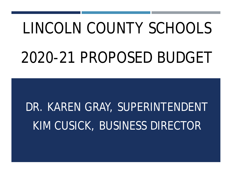## LINCOLN COUNTY SCHOOLS 2020-21 PROPOSED BUDGET

## DR. KAREN GRAY, SUPERINTENDENT KIM CUSICK, BUSINESS DIRECTOR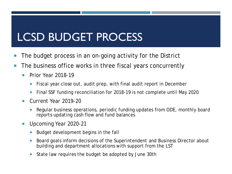- **The budget process in an on-going activity for the District**
- **The business office works in three fiscal years concurrently** 
	- Prior Year 2018-19
		- Fiscal year close out, audit prep, with final audit report in December
		- Final SSF funding reconciliation for 2018-19 is not complete until May 2020
	- Current Year 2019-20
		- Regular business operations, periodic funding updates from ODE, monthly board reports updating cash flow and fund balances
	- Upcoming Year 2020-21
		- Budget development begins in the fall
		- Board goals inform decisions of the Superintendent and Business Director about building and department allocations with support from the LST
		- State law requires the budget be adopted by June 30th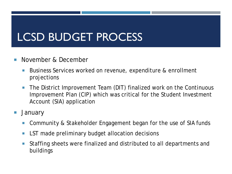- **November & December** 
	- Business Services worked on revenue, expenditure & enrollment projections
	- **The District Improvement Team (DIT) finalized work on the Continuous** Improvement Plan (CIP) which was critical for the Student Investment Account (SIA) application
- January
	- Community & Stakeholder Engagement began for the use of SIA funds
	- **EXT made preliminary budget allocation decisions**
	- Staffing sheets were finalized and distributed to all departments and buildings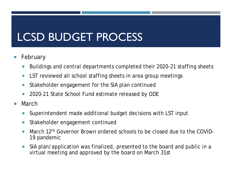- **February** 
	- Buildings and central departments completed their 2020-21 staffing sheets
	- **LST reviewed all school staffing sheets in area group meetings**
	- **Stakeholder engagement for the SIA plan continued**
	- 2020-21 State School Fund estimate released by ODE
- March
	- Superintendent made additional budget decisions with LST input
	- **Stakeholder engagement continued**
	- **March 12<sup>th</sup> Governor Brown ordered schools to be closed due to the COVID-**19 pandemic
	- SIA plan/application was finalized, presented to the board and public in a virtual meeting and approved by the board on March 31st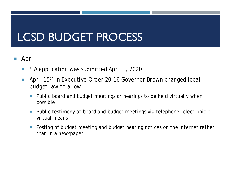- April
	- **SIA application was submitted April 3, 2020**
	- **April 15<sup>th</sup> in Executive Order 20-16 Governor Brown changed local** budget law to allow:
		- Public board and budget meetings or hearings to be held virtually when possible
		- **Public testimony at board and budget meetings via telephone, electronic or** virtual means
		- **Posting of budget meeting and budget hearing notices on the internet rather** than in a newspaper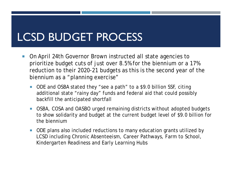- On April 24th Governor Brown instructed all state agencies to prioritize budget cuts of just over 8.5% for the biennium or a 17% reduction to their 2020-21 budgets as this is the second year of the biennium as a "planning exercise"
	- ODE and OSBA stated they "see a path" to a \$9.0 billion SSF, citing additional state "rainy day" funds and federal aid that could possibly backfill the anticipated shortfall
	- OSBA, COSA and OASBO urged remaining districts without adopted budgets to show solidarity and budget at the current budget level of \$9.0 billion for the biennium
	- ODE plans also included reductions to many education grants utilized by LCSD including Chronic Absenteeism, Career Pathways, Farm to School, Kindergarten Readiness and Early Learning Hubs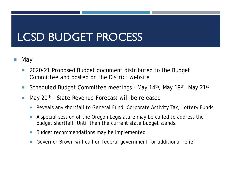- May
	- 2020-21 Proposed Budget document distributed to the Budget Committee and posted on the District website
	- Scheduled Budget Committee meetings May 14<sup>th</sup>, May 19<sup>th</sup>, May 21<sup>st</sup>
	- **May 20<sup>th</sup> State Revenue Forecast will be released** 
		- Reveals any shortfall to General Fund, Corporate Activity Tax, Lottery Funds
		- A special session of the Oregon Legislature may be called to address the budget shortfall. Until then the current state budget stands.
		- Budget recommendations may be implemented
		- Governor Brown will call on federal government for additional relief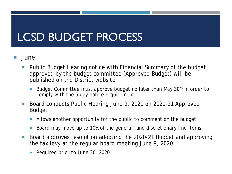- June
	- Public Budget Hearing notice with Financial Summary of the budget approved by the budget committee (Approved Budget) will be published on the District website
		- Budget Committee must approve budget no later than May 30<sup>th</sup> in order to comply with the 5 day notice requirement
	- Board conducts Public Hearing June 9, 2020 on 2020-21 Approved Budget
		- Allows another opportunity for the public to comment on the budget
		- Board may move up to 10% of the general fund discretionary line items
	- Board approves resolution adopting the 2020-21 Budget and approving the tax levy at the regular board meeting June 9, 2020
		- Required prior to June 30, 2020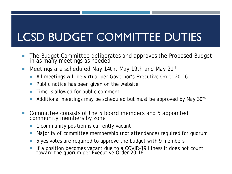#### LCSD BUDGET COMMITTEE DUTIES

- The Budget Committee deliberates and approves the Proposed Budget in as many meetings as needed
- **Meetings are scheduled May 14th, May 19th and May 21st** 
	- All meetings will be virtual per Governor's Executive Order 20-16
	- Public notice has been given on the website
	- Time is allowed for public comment
	- Additional meetings may be scheduled but must be approved by May 30th
- Committee consists of the 5 board members and 5 appointed community members by zone
	- 1 community position is currently vacant
	- Majority of committee membership (not attendance) required for quorum
	- 5 yes votes are required to approve the budget with 9 members
	- If a position becomes vacant due to a COVID-19 illness it does not count toward the quorum per Executive Order 20-16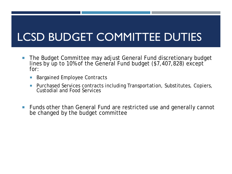#### LCSD BUDGET COMMITTEE DUTIES

- The Budget Committee may adjust General Fund discretionary budget lines by up to 10% of the General Fund budget  $(\$7,407,828)$  except for:
	- Bargained Employee Contracts
	- **Purchased Services contracts including Transportation, Substitutes, Copiers,** Custodial and Food Services
- Funds other than General Fund are restricted use and generally cannot be changed by the budget committee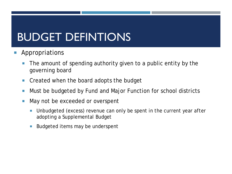#### BUDGET DEFINTIONS

- Appropriations
	- The amount of spending authority given to a public entity by the governing board
	- Created when the board adopts the budget
	- Must be budgeted by Fund and Major Function for school districts
	- May not be exceeded or overspent
		- Unbudgeted (excess) revenue can only be spent in the current year *after* adopting a Supplemental Budget
		- Budgeted items may be underspent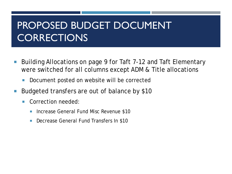#### PROPOSED BUDGET DOCUMENT **CORRECTIONS**

- Building Allocations on page 9 for Taft 7-12 and Taft Elementary were switched for all columns except ADM & Title allocations
	- Document posted on website will be corrected
- Budgeted transfers are out of balance by \$10
	- **Correction needed:** 
		- Increase General Fund Misc Revenue \$10
		- Decrease General Fund Transfers In \$10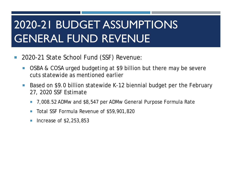- 2020-21 State School Fund (SSF) Revenue:
	- OSBA & COSA urged budgeting at \$9 billion but there may be severe cuts statewide as mentioned earlier
	- Based on \$9.0 billion statewide K-12 biennial budget per the February 27, 2020 SSF Estimate
		- 7,008.52 ADMw and \$8,547 per ADMw General Purpose Formula Rate
		- Total SSF Formula Revenue of \$59,901,820
		- Increase of \$2,253,853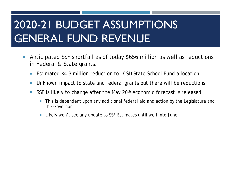- Anticipated SSF shortfall as of today \$656 million as well as reductions in Federal & State grants.
	- Estimated \$4.3 million reduction to LCSD State School Fund allocation
	- Unknown impact to state and federal grants but there will be reductions
	- SSF is likely to change after the May  $20<sup>th</sup>$  economic forecast is released
		- This is dependent upon any additional federal aid and action by the Legislature and the Governor
		- Likely won't see any update to SSF Estimates until well into June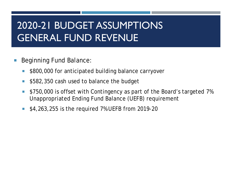- Beginning Fund Balance:
	- **5800,000 for anticipated building balance carryover**
	- \$582,350 cash used to balance the budget
	- **S** \$750,000 is offset with Contingency as part of the Board's targeted 7% Unappropriated Ending Fund Balance (UEFB) requirement
	- **\$4,263,255 is the required 7% UEFB from 2019-20**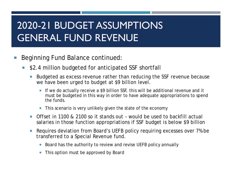- Beginning Fund Balance continued:
	- \$2.4 million budgeted for anticipated SSF shortfall
		- Budgeted as excess revenue rather than reducing the SSF revenue because we have been urged to budget at \$9 billion level.
			- If we do actually receive a \$9 billion SSF, this will be additional revenue and it must be budgeted in this way in order to have adequate appropriations to spend the funds.
			- **This scenario is very unlikely given the state of the economy**
		- Offset in 1100 & 2100 so it stands out would be used to backfill actual salaries in those function appropriations if SSF budget is below \$9 billion
		- Requires deviation from Board's UEFB policy requiring excesses over 7% be transferred to a Special Revenue fund.
			- Board has the authority to review and revise UEFB policy annually
			- This option must be approved by Board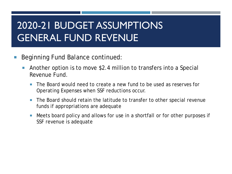- Beginning Fund Balance continued:
	- Another option is to move \$2.4 million to transfers into a Special Revenue Fund.
		- The Board would need to create a new fund to be used as reserves for Operating Expenses when SSF reductions occur.
		- The Board should retain the latitude to transfer to other special revenue funds if appropriations are adequate
		- Meets board policy and allows for use in a shortfall or for other purposes if SSF revenue is adequate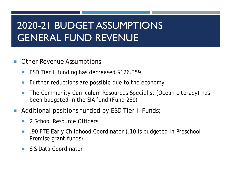- Other Revenue Assumptions:
	- ESD Tier II funding has decreased \$126,359
	- **Further reductions are possible due to the economy**
	- The Community Curriculum Resources Specialist (Ocean Literacy) has been budgeted in the SIA fund (Fund 289)
- Additional positions funded by ESD Tier II Funds;
	- **2** 2 School Resource Officers
	- .90 FTE Early Childhood Coordinator (.10 is budgeted in Preschool Promise grant funds)
	- **SIS Data Coordinator**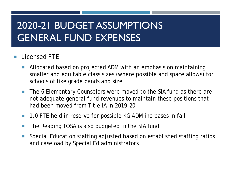#### Licensed FTE

- Allocated based on projected ADM with an emphasis on maintaining smaller and equitable class sizes (where possible and space allows) for schools of like grade bands and size
- The 6 Elementary Counselors were moved to the SIA fund as there are not adequate general fund revenues to maintain these positions that had been moved from Title IA in 2019-20
- 1.0 FTE held in reserve for possible KG ADM increases in fall
- **The Reading TOSA is also budgeted in the SIA fund**
- **Special Education staffing adjusted based on established staffing ratios** and caseload by Special Ed administrators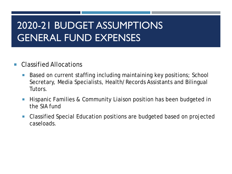#### ■ Classified Allocations

- Based on current staffing including maintaining key positions; School Secretary, Media Specialists, Health/Records Assistants and Bilingual Tutors.
- **Hispanic Families & Community Liaison position has been budgeted in** the SIA fund
- Classified Special Education positions are budgeted based on projected caseloads.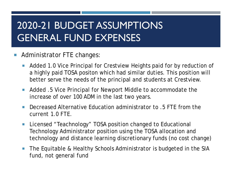- **Administrator FTE changes:** 
	- **Added 1.0 Vice Principal for Crestview Heights paid for by reduction of** a highly paid TOSA positon which had similar duties. This position will better serve the needs of the principal and students at Crestview.
	- Added .5 Vice Principal for Newport Middle to accommodate the increase of over 100 ADM in the last two years.
	- **Decreased Alternative Education administrator to .5 FTF from the** current 1.0 FTE.
	- **Licensed "Teachnology" TOSA position changed to Educational** Technology Administrator position using the TOSA allocation and technology and distance learning discretionary funds (no cost change)
	- The Equitable & Healthy Schools Administrator is budgeted in the SIA fund, not general fund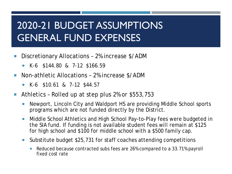- Discretionary Allocations 2% increase \$/ADM
	- K-6 \$144.80 & 7-12 \$166.59
- Non-athletic Allocations 2% increase \$/ADM
	- **K-6 \$10.61 & 7-12 \$44.57**
- Athletics Rolled up at step plus 2% or \$553,753
	- Newport, Lincoln City and Waldport HS are providing Middle School sports programs which are not funded directly by the District.
	- Middle School Athletics and High School Pay-to-Play fees were budgeted in the SIA fund. If funding is not available student fees will remain at \$125 for high school and \$100 for middle school with a \$500 family cap.
	- Substitute budget \$25,731 for staff coaches attending competitions
		- Reduced because contracted subs fees are 26% compared to a 33.71% payroll fixed cost rate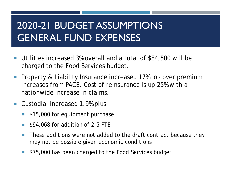- Utilities increased 3% overall and a total of \$84,500 will be charged to the Food Services budget.
- **Property & Liability Insurance increased 17% to cover premium** increases from PACE. Cost of reinsurance is up 25% with a nationwide increase in claims.
- Custodial increased 1.9% plus
	- **515,000 for equipment purchase**
	- **S94,068 for addition of 2.5 FTE**
	- **These additions were not added to the draft contract because they** may not be possible given economic conditions
	- **575,000 has been charged to the Food Services budget**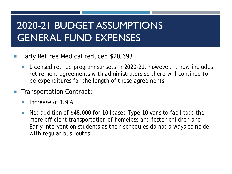- Early Retiree Medical reduced \$20,693
	- Licensed retiree program sunsets in 2020-21, however, it now includes retirement agreements with administrators so there will continue to be expenditures for the length of those agreements.
- Transportation Contract:
	- **I** Increase of 1.9%
	- Net addition of \$48,000 for 10 leased Type 10 vans to facilitate the more efficient transportation of homeless and foster children and Early Intervention students as their schedules do not always coincide with regular bus routes.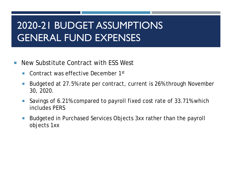- **New Substitute Contract with ESS West** 
	- **Contract was effective December 1st**
	- Budgeted at 27.5% rate per contract, current is 26% through November 30, 2020.
	- Savings of 6.21% compared to payroll fixed cost rate of 33.71% which includes PERS
	- Budgeted in Purchased Services Objects 3xx rather than the payroll objects 1xx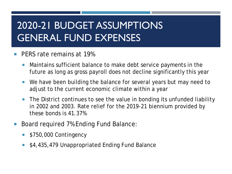#### PERS rate remains at 19%

- **Maintains sufficient balance to make debt service payments in the** future as long as gross payroll does not decline significantly this year
- We have been building the balance for several years but may need to adjust to the current economic climate within a year
- The District continues to see the value in bonding its unfunded liability in 2002 and 2003. Rate relief for the 2019-21 biennium provided by these bonds is 41.37%
- Board required 7% Ending Fund Balance:
	- \$750,000 Contingency
	- \$4,435,479 Unappropriated Ending Fund Balance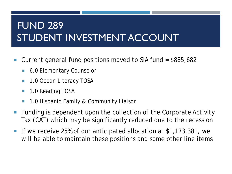#### FUND 289 STUDENT INVESTMENT ACCOUNT

- Current general fund positions moved to SIA fund  $=$  \$885,682
	- 6.0 Elementary Counselor
	- 1.0 Ocean Literacy TOSA
	- **1.0 Reading TOSA**
	- 1.0 Hispanic Family & Community Liaison
- Funding is dependent upon the collection of the Corporate Activity Tax (CAT) which may be significantly reduced due to the recession
- If we receive 25% of our anticipated allocation at \$1,173,381, we will be able to maintain these positions and some other line items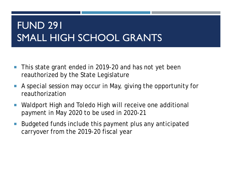#### FUND 291 SMALL HIGH SCHOOL GRANTS

- **This state grant ended in 2019-20 and has not yet been** reauthorized by the State Legislature
- A special session may occur in May, giving the opportunity for reauthorization
- Waldport High and Toledo High will receive one additional payment in May 2020 to be used in 2020-21
- Budgeted funds include this payment plus any anticipated carryover from the 2019-20 fiscal year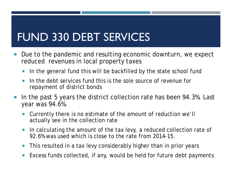#### FUND 330 DEBT SERVICES

- Due to the pandemic and resulting economic downturn, we expect reduced revenues in local property taxes
	- In the general fund this will be backfilled by the state school fund
	- I In the debt services fund this is the sole source of revenue for repayment of district bonds
- In the past 5 years the district collection rate has been 94.3%. Last year was 94.6%.
	- Currently there is no estimate of the amount of reduction we'll actually see in the collection rate
	- In calculating the amount of the tax levy, a reduced collection rate of 92.6% was used which is close to the rate from 2014-15.
	- **This resulted in a tax levy considerably higher than in prior years**
	- Excess funds collected, if any, would be held for future debt payments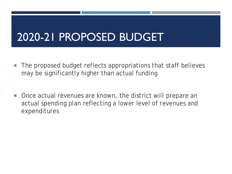#### 2020-21 PROPOSED BUDGET

- **The proposed budget reflects appropriations that staff believes** may be significantly higher than actual funding
- **Once actual revenues are known, the district will prepare an** actual spending plan reflecting a lower level of revenues and expenditures